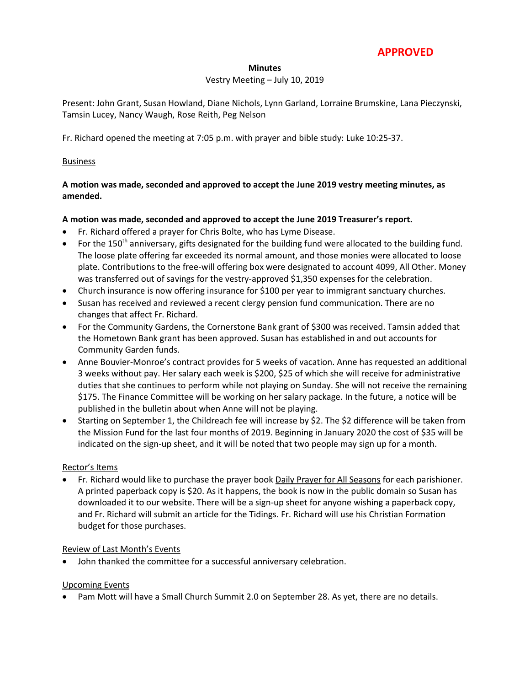# **APPROVED**

#### **Minutes**

#### Vestry Meeting – July 10, 2019

Present: John Grant, Susan Howland, Diane Nichols, Lynn Garland, Lorraine Brumskine, Lana Pieczynski, Tamsin Lucey, Nancy Waugh, Rose Reith, Peg Nelson

Fr. Richard opened the meeting at 7:05 p.m. with prayer and bible study: Luke 10:25-37.

# **Business**

# **A motion was made, seconded and approved to accept the June 2019 vestry meeting minutes, as amended.**

# **A motion was made, seconded and approved to accept the June 2019 Treasurer's report.**

- Fr. Richard offered a prayer for Chris Bolte, who has Lyme Disease.
- For the 150<sup>th</sup> anniversary, gifts designated for the building fund were allocated to the building fund. The loose plate offering far exceeded its normal amount, and those monies were allocated to loose plate. Contributions to the free-will offering box were designated to account 4099, All Other. Money was transferred out of savings for the vestry-approved \$1,350 expenses for the celebration.
- Church insurance is now offering insurance for \$100 per year to immigrant sanctuary churches.
- Susan has received and reviewed a recent clergy pension fund communication. There are no changes that affect Fr. Richard.
- For the Community Gardens, the Cornerstone Bank grant of \$300 was received. Tamsin added that the Hometown Bank grant has been approved. Susan has established in and out accounts for Community Garden funds.
- Anne Bouvier-Monroe's contract provides for 5 weeks of vacation. Anne has requested an additional 3 weeks without pay. Her salary each week is \$200, \$25 of which she will receive for administrative duties that she continues to perform while not playing on Sunday. She will not receive the remaining \$175. The Finance Committee will be working on her salary package. In the future, a notice will be published in the bulletin about when Anne will not be playing.
- Starting on September 1, the Childreach fee will increase by \$2. The \$2 difference will be taken from the Mission Fund for the last four months of 2019. Beginning in January 2020 the cost of \$35 will be indicated on the sign-up sheet, and it will be noted that two people may sign up for a month.

# Rector's Items

 Fr. Richard would like to purchase the prayer book Daily Prayer for All Seasons for each parishioner. A printed paperback copy is \$20. As it happens, the book is now in the public domain so Susan has downloaded it to our website. There will be a sign-up sheet for anyone wishing a paperback copy, and Fr. Richard will submit an article for the Tidings. Fr. Richard will use his Christian Formation budget for those purchases.

# Review of Last Month's Events

John thanked the committee for a successful anniversary celebration.

# Upcoming Events

Pam Mott will have a Small Church Summit 2.0 on September 28. As yet, there are no details.